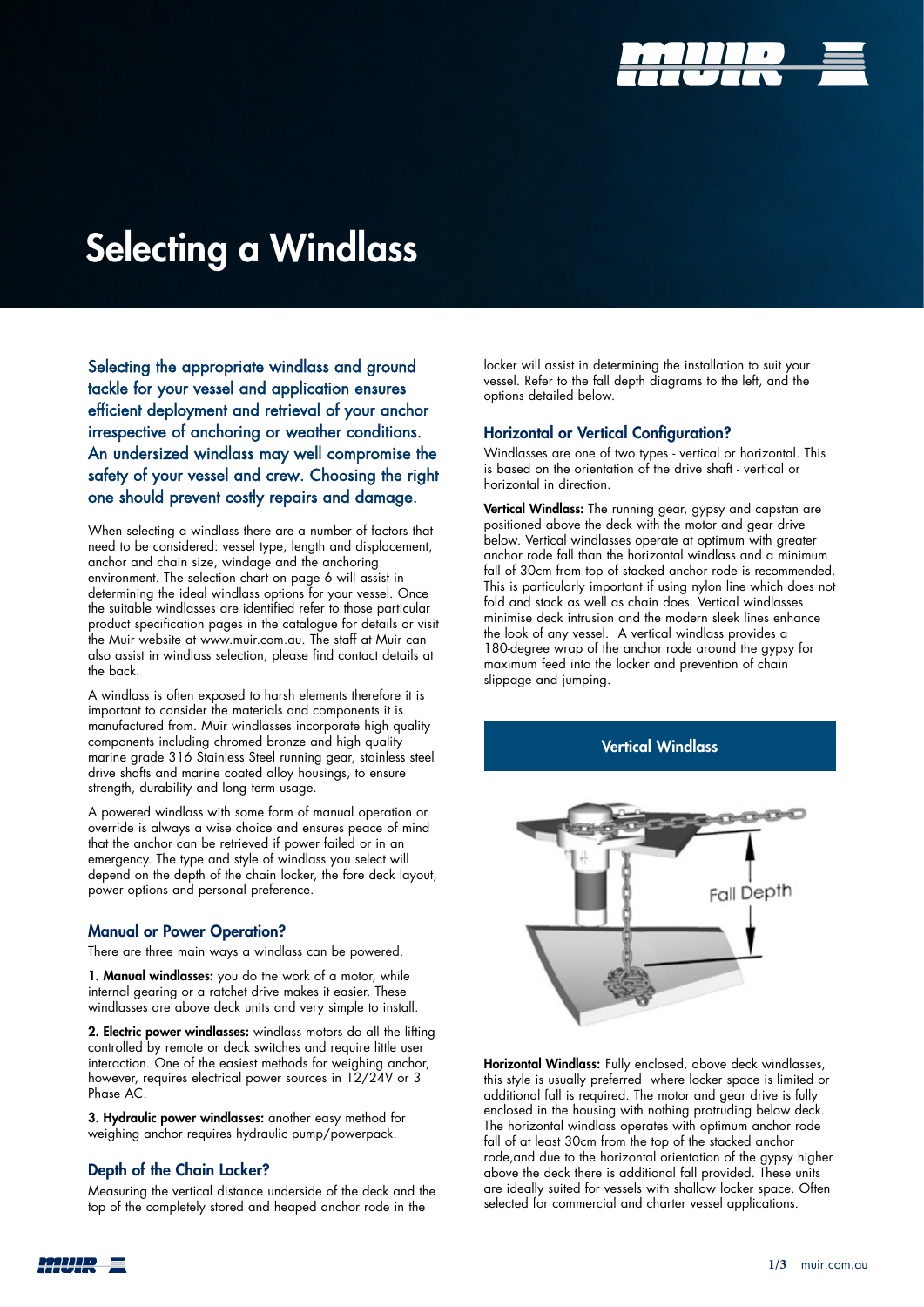

# Selecting a Windlass

Selecting the appropriate windlass and ground tackle for your vessel and application ensures efficient deployment and retrieval of your anchor irrespective of anchoring or weather conditions. An undersized windlass may well compromise the safety of your vessel and crew. Choosing the right one should prevent costly repairs and damage.

When selecting a windlass there are a number of factors that need to be considered: vessel type, length and displacement, anchor and chain size, windage and the anchoring environment. The selection chart on page 6 will assist in determining the ideal windlass options for your vessel. Once the suitable windlasses are identified refer to those particular product specification pages in the catalogue for details or visit the Muir website at www.muir.com.au. The staff at Muir can also assist in windlass selection, please find contact details at the back.

A windlass is often exposed to harsh elements therefore it is important to consider the materials and components it is manufactured from. Muir windlasses incorporate high quality components including chromed bronze and high quality marine grade 316 Stainless Steel running gear, stainless steel drive shafts and marine coated alloy housings, to ensure strength, durability and long term usage.

A powered windlass with some form of manual operation or override is always a wise choice and ensures peace of mind that the anchor can be retrieved if power failed or in an emergency. The type and style of windlass you select will depend on the depth of the chain locker, the fore deck layout, power options and personal preference.

### Manual or Power Operation?

There are three main ways a windlass can be powered.

1. Manual windlasses: you do the work of a motor, while internal gearing or a ratchet drive makes it easier. These windlasses are above deck units and very simple to install.

2. Electric power windlasses: windlass motors do all the lifting controlled by remote or deck switches and require little user interaction. One of the easiest methods for weighing anchor, however, requires electrical power sources in 12/24V or 3 Phase AC.

3. Hydraulic power windlasses: another easy method for weighing anchor requires hydraulic pump/powerpack.

## Depth of the Chain Locker?

Measuring the vertical distance underside of the deck and the top of the completely stored and heaped anchor rode in the

locker will assist in determining the installation to suit your vessel. Refer to the fall depth diagrams to the left, and the options detailed below.

## Horizontal or Vertical Configuration?

Windlasses are one of two types - vertical or horizontal. This is based on the orientation of the drive shaft - vertical or horizontal in direction.

Vertical Windlass: The running gear, gypsy and capstan are positioned above the deck with the motor and gear drive below. Vertical windlasses operate at optimum with greater anchor rode fall than the horizontal windlass and a minimum fall of 30cm from top of stacked anchor rode is recommended. This is particularly important if using nylon line which does not fold and stack as well as chain does. Vertical windlasses minimise deck intrusion and the modern sleek lines enhance the look of any vessel. A vertical windlass provides a 180-degree wrap of the anchor rode around the gypsy for maximum feed into the locker and prevention of chain slippage and jumping.

Vertical Windlass



Horizontal Windlass: Fully enclosed, above deck windlasses, this style is usually preferred where locker space is limited or additional fall is required. The motor and gear drive is fully enclosed in the housing with nothing protruding below deck. The horizontal windlass operates with optimum anchor rode fall of at least 30cm from the top of the stacked anchor rode,and due to the horizontal orientation of the gypsy higher above the deck there is additional fall provided. These units are ideally suited for vessels with shallow locker space. Often selected for commercial and charter vessel applications.

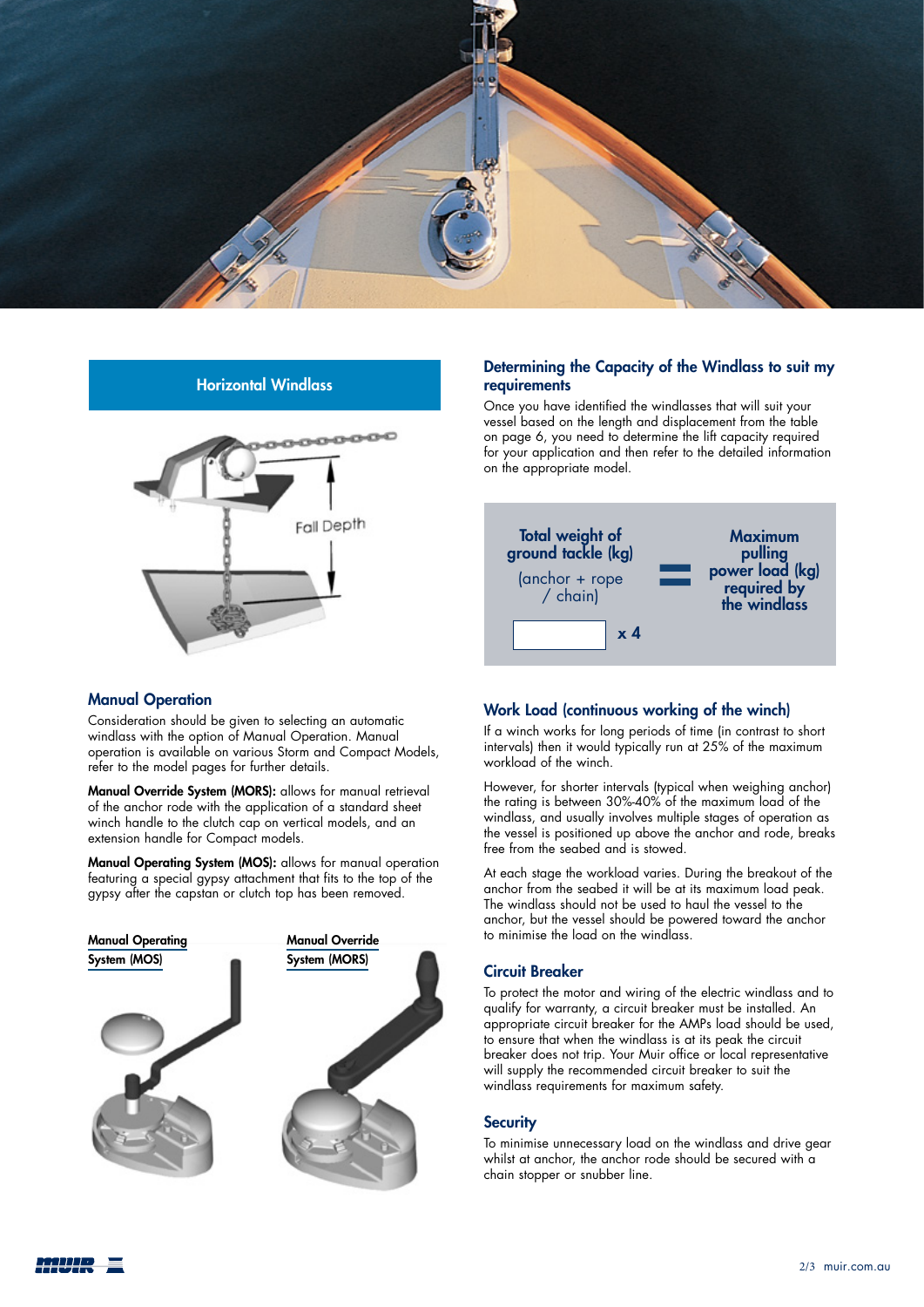

# Horizontal Windlass



### Manual Operation

Consideration should be given to selecting an automatic windlass with the option of Manual Operation. Manual operation is available on various Storm and Compact Models, refer to the model pages for further details.

Manual Override System (MORS): allows for manual retrieval of the anchor rode with the application of a standard sheet winch handle to the clutch cap on vertical models, and an extension handle for Compact models.

Manual Operating System (MOS): allows for manual operation featuring a special gypsy attachment that fits to the top of the gypsy after the capstan or clutch top has been removed.



# Determining the Capacity of the Windlass to suit my requirements

Once you have identified the windlasses that will suit your vessel based on the length and displacement from the table on page 6, you need to determine the lift capacity required for your application and then refer to the detailed information on the appropriate model.



### Work Load (continuous working of the winch)

If a winch works for long periods of time (in contrast to short intervals) then it would typically run at 25% of the maximum workload of the winch.

However, for shorter intervals (typical when weighing anchor) the rating is between 30%-40% of the maximum load of the windlass, and usually involves multiple stages of operation as the vessel is positioned up above the anchor and rode, breaks free from the seabed and is stowed.

At each stage the workload varies. During the breakout of the anchor from the seabed it will be at its maximum load peak. The windlass should not be used to haul the vessel to the anchor, but the vessel should be powered toward the anchor to minimise the load on the windlass.

## Circuit Breaker

To protect the motor and wiring of the electric windlass and to qualify for warranty, a circuit breaker must be installed. An appropriate circuit breaker for the AMPs load should be used, to ensure that when the windlass is at its peak the circuit breaker does not trip. Your Muir office or local representative will supply the recommended circuit breaker to suit the windlass requirements for maximum safety.

### **Security**

To minimise unnecessary load on the windlass and drive gear whilst at anchor, the anchor rode should be secured with a chain stopper or snubber line.